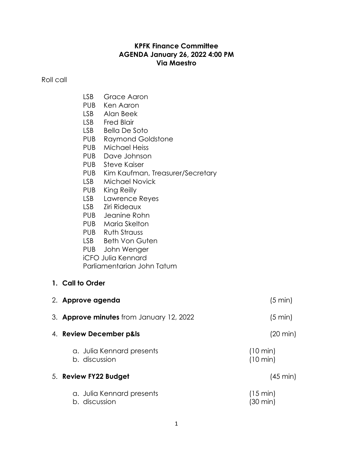## **KPFK Finance Committee AGENDA January 26, 2022 4:00 PM Via Maestro**

Roll call

- LSB Grace Aaron
- PUB Ken Aaron
- LSB Alan Beek
- LSB Fred Blair
- LSB Bella De Soto
- PUB Raymond Goldstone
- PUB Michael Heiss
- PUB Dave Johnson
- PUB Steve Kaiser
- PUB Kim Kaufman, Treasurer/Secretary
- LSB Michael Novick
- PUB King Reilly
- LSB Lawrence Reyes
- LSB Ziri Rideaux
- PUB Jeanine Rohn
- PUB Maria Skelton
- PUB Ruth Strauss
- LSB Beth Von Guten
- PUB John Wenger
- iCFO Julia Kennard

Parliamentarian John Tatum

## **1. Call to Order**

| 2. Approve agenda                               | (5 min)                        |
|-------------------------------------------------|--------------------------------|
| 3. <b>Approve minutes</b> from January 12, 2022 | $(5 \text{ min})$              |
| 4. Review December p&ls                         | (20 min)                       |
| a. Julia Kennard presents<br>b. discussion      | $(10 \text{ min})$<br>(10 min) |
| 5. Review FY22 Budget                           | $(45 \text{ min})$             |
| a. Julia Kennard presents<br>b. discussion      | (15 min)<br>(30 min)           |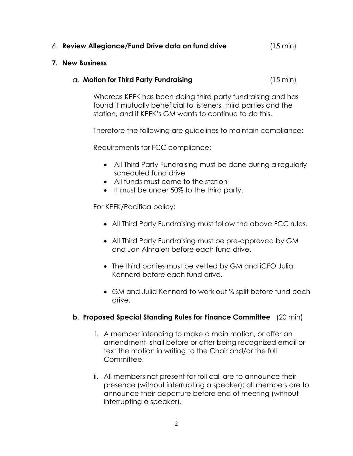### 6. **Review Allegiance/Fund Drive data on fund drive** (15 min)

#### **7. New Business**

|  | a. Motion for Third Party Fundraising |  | $(15 \text{ min})$ |
|--|---------------------------------------|--|--------------------|
|--|---------------------------------------|--|--------------------|

Whereas KPFK has been doing third party fundraising and has found it mutually beneficial to listeners, third parties and the station, and if KPFK's GM wants to continue to do this,

Therefore the following are guidelines to maintain compliance:

Requirements for FCC compliance:

- All Third Party Fundraising must be done during a regularly scheduled fund drive
- All funds must come to the station
- It must be under 50% to the third party.

For KPFK/Pacifica policy:

- All Third Party Fundraising must follow the above FCC rules.
- All Third Party Fundraising must be pre-approved by GM and Jon Almaleh before each fund drive.
- The third parties must be vetted by GM and iCFO Julia Kennard before each fund drive.
- GM and Julia Kennard to work out % split before fund each drive.

### **b. Proposed Special Standing Rules for Finance Committee** (20 min)

- i. A member intending to make a main motion, or offer an amendment, shall before or after being recognized email or text the motion in writing to the Chair and/or the full Committee.
- ii. All members not present for roll call are to announce their presence (without interrupting a speaker); all members are to announce their departure before end of meeting (without interrupting a speaker).